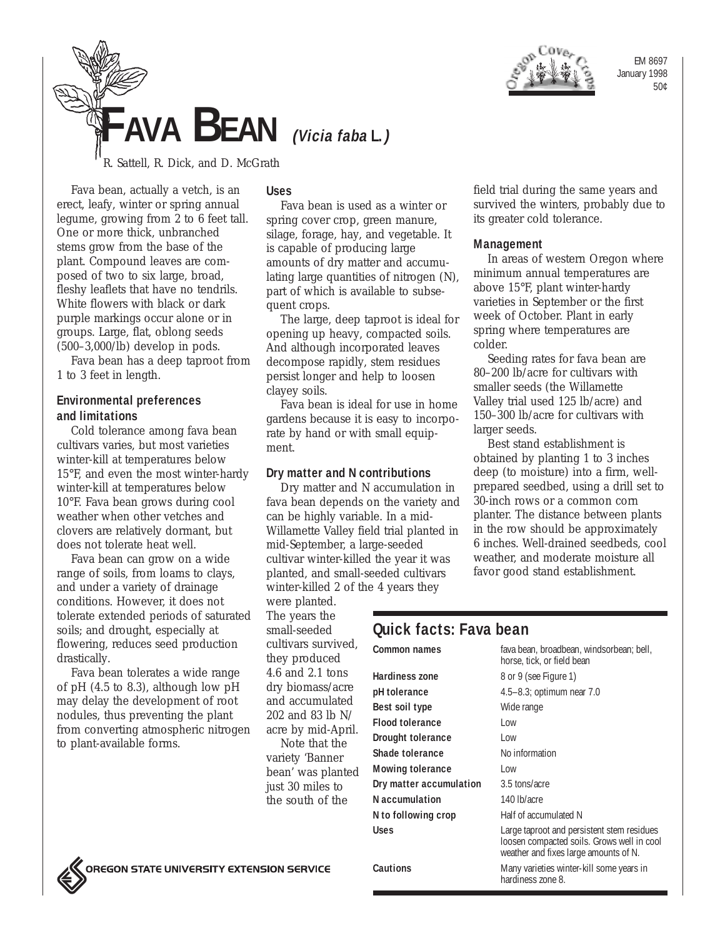

EM 8697 January 1998 50¢

# **FAVA BEAN (Vicia faba L.)**

R. Sattell, R. Dick, and D. McGrath

Fava bean, actually a vetch, is an erect, leafy, winter or spring annual legume, growing from 2 to 6 feet tall. One or more thick, unbranched stems grow from the base of the plant. Compound leaves are composed of two to six large, broad, fleshy leaflets that have no tendrils. White flowers with black or dark purple markings occur alone or in groups. Large, flat, oblong seeds (500–3,000/lb) develop in pods.

Fava bean has a deep taproot from 1 to 3 feet in length.

# **Environmental preferences and limitations**

Cold tolerance among fava bean cultivars varies, but most varieties winter-kill at temperatures below 15°F, and even the most winter-hardy winter-kill at temperatures below 10°F. Fava bean grows during cool weather when other vetches and clovers are relatively dormant, but does not tolerate heat well.

Fava bean can grow on a wide range of soils, from loams to clays, and under a variety of drainage conditions. However, it does not tolerate extended periods of saturated soils; and drought, especially at flowering, reduces seed production drastically.

Fava bean tolerates a wide range of pH (4.5 to 8.3), although low pH may delay the development of root nodules, thus preventing the plant from converting atmospheric nitrogen to plant-available forms.

## **Uses**

Fava bean is used as a winter or spring cover crop, green manure, silage, forage, hay, and vegetable. It is capable of producing large amounts of dry matter and accumulating large quantities of nitrogen (N), part of which is available to subsequent crops.

The large, deep taproot is ideal for opening up heavy, compacted soils. And although incorporated leaves decompose rapidly, stem residues persist longer and help to loosen clayey soils.

Fava bean is ideal for use in home gardens because it is easy to incorporate by hand or with small equipment.

# **Dry matter and N contributions**

Dry matter and N accumulation in fava bean depends on the variety and can be highly variable. In a mid-Willamette Valley field trial planted in mid-September, a large-seeded cultivar winter-killed the year it was planted, and small-seeded cultivars winter-killed 2 of the 4 years they

were planted. The years the small-seeded cultivars survived, they produced 4.6 and 2.1 tons dry biomass/acre and accumulated 202 and 83 lb N/ acre by mid-April. Note that the variety 'Banner bean' was planted just 30 miles to the south of the

field trial during the same years and survived the winters, probably due to its greater cold tolerance.

## **Management**

In areas of western Oregon where minimum annual temperatures are above 15°F, plant winter-hardy varieties in September or the first week of October. Plant in early spring where temperatures are colder.

Seeding rates for fava bean are 80–200 lb/acre for cultivars with smaller seeds (the Willamette Valley trial used 125 lb/acre) and 150–300 lb/acre for cultivars with larger seeds.

Best stand establishment is obtained by planting 1 to 3 inches deep (to moisture) into a firm, wellprepared seedbed, using a drill set to 30-inch rows or a common corn planter. The distance between plants in the row should be approximately 6 inches. Well-drained seedbeds, cool weather, and moderate moisture all favor good stand establishment.

# **Quick facts: Fava bean**

| <b>Common names</b>      | fava bean, broadbean, windsorbean; bell,<br>horse, tick, or field bean                                                            |
|--------------------------|-----------------------------------------------------------------------------------------------------------------------------------|
| <b>Hardiness zone</b>    | 8 or 9 (see Figure 1)                                                                                                             |
| pH tolerance             | 4.5–8.3; optimum near 7.0                                                                                                         |
| Best soil type           | Wide range                                                                                                                        |
| <b>Flood tolerance</b>   | Low                                                                                                                               |
| <b>Drought tolerance</b> | Low                                                                                                                               |
| Shade tolerance          | No information                                                                                                                    |
| <b>Mowing tolerance</b>  | l ow                                                                                                                              |
| Dry matter accumulation  | 3.5 tons/acre                                                                                                                     |
| N accumulation           | 140 lb/acre                                                                                                                       |
| N to following crop      | Half of accumulated N                                                                                                             |
| Uses                     | Large taproot and persistent stem residues<br>loosen compacted soils. Grows well in cool<br>weather and fixes large amounts of N. |
| Cautions                 | Many varieties winter-kill some years in<br>hardiness zone 8.                                                                     |
|                          |                                                                                                                                   |